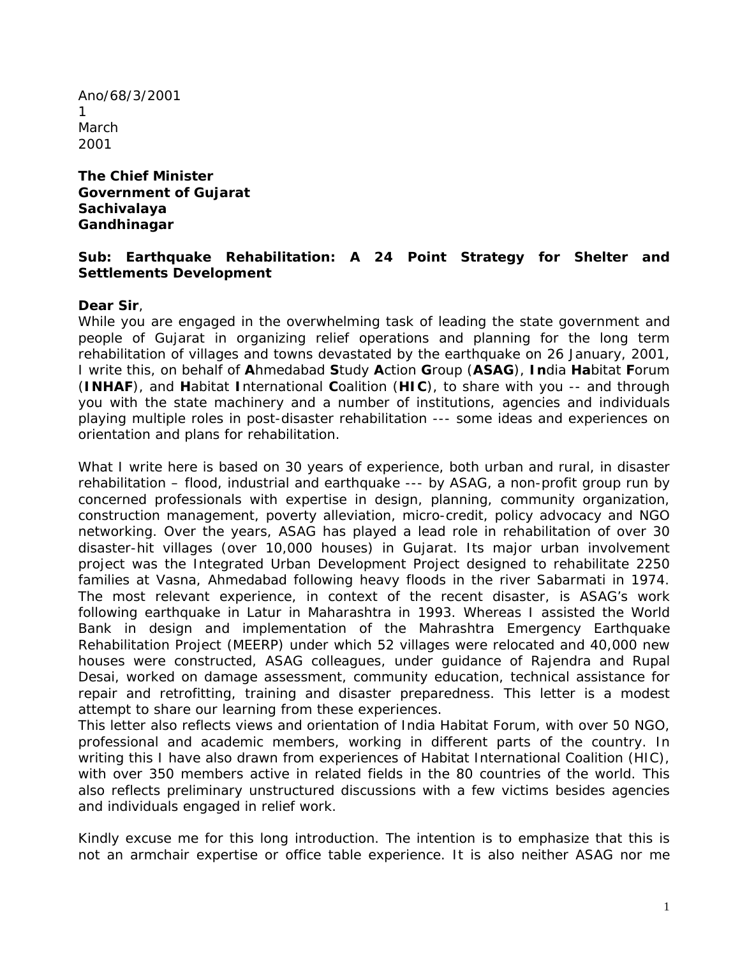Ano/68/3/2001 1 March 2001

#### **The Chief Minister Government of Gujarat Sachivalaya Gandhinagar**

### **Sub: Earthquake Rehabilitation: A 24 Point Strategy for Shelter and Settlements Development**

#### **Dear Sir**,

While you are engaged in the overwhelming task of leading the state government and people of Gujarat in organizing relief operations and planning for the long term rehabilitation of villages and towns devastated by the earthquake on 26 January, 2001, I write this, on behalf of **A**hmedabad **S**tudy **A**ction **G**roup (**ASAG**), **In**dia **Ha**bitat **F**orum (**INHAF**), and **H**abitat **I**nternational **C**oalition (**HIC**), to share with you -- and through you with the state machinery and a number of institutions, agencies and individuals playing multiple roles in post-disaster rehabilitation --- some ideas and experiences on orientation and plans for rehabilitation.

What I write here is based on 30 years of experience, both urban and rural, in disaster rehabilitation – flood, industrial and earthquake --- by ASAG, a non-profit group run by concerned professionals with expertise in design, planning, community organization, construction management, poverty alleviation, micro-credit, policy advocacy and NGO networking. Over the years, ASAG has played a lead role in rehabilitation of over 30 disaster-hit villages (*over 10,000 houses*) in Gujarat. Its major urban involvement project was the Integrated Urban Development Project designed to rehabilitate 2250 families at Vasna, Ahmedabad following heavy floods in the river Sabarmati in 1974. The most relevant experience, in context of the recent disaster, is ASAG's work following earthquake in Latur in Maharashtra in 1993. Whereas I assisted the World Bank in design and implementation of the Mahrashtra Emergency Earthquake Rehabilitation Project (*MEERP*) under which 52 villages were relocated and 40,000 new houses were constructed, ASAG colleagues, under guidance of Rajendra and Rupal Desai, worked on damage assessment, community education, technical assistance for repair and retrofitting, training and disaster preparedness. This letter is a modest attempt to share our learning from these experiences.

This letter also reflects views and orientation of India Habitat Forum, with over 50 NGO, professional and academic members, working in different parts of the country. In writing this I have also drawn from experiences of Habitat International Coalition (*HIC*), with over 350 members active in related fields in the 80 countries of the world. This also reflects preliminary unstructured discussions with a few victims besides agencies and individuals engaged in relief work.

Kindly excuse me for this long introduction. The intention is to emphasize that this is not an armchair expertise or office table experience. It is also neither ASAG nor me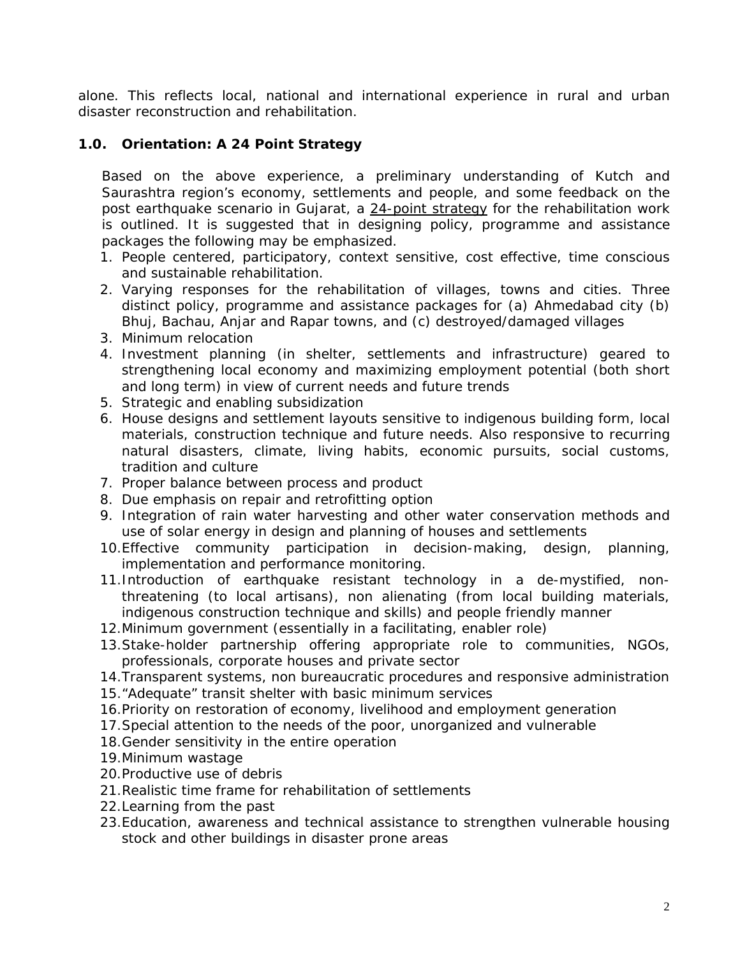alone. This reflects local, national and international experience in rural and urban disaster reconstruction and rehabilitation.

# **1.0. Orientation: A 24 Point Strategy**

Based on the above experience, a preliminary understanding of Kutch and Saurashtra region's economy, settlements and people, and some feedback on the post earthquake scenario in Gujarat, a 24-point strategy for the rehabilitation work is outlined. It is suggested that in designing policy, programme and assistance packages the following may be emphasized.

- 1. People centered, participatory, context sensitive, cost effective, time conscious and sustainable rehabilitation.
- 2. Varying responses for the rehabilitation of villages, towns and cities. Three distinct policy, programme and assistance packages for (a) Ahmedabad city (b) Bhuj, Bachau, Anjar and Rapar towns, and (c) destroyed/damaged villages
- 3. Minimum relocation
- 4. Investment planning (*in shelter, settlements and infrastructure*) geared to strengthening local economy and maximizing employment potential (*both short and long term*) in view of current needs and future trends
- 5. Strategic and enabling subsidization
- 6. House designs and settlement layouts sensitive to indigenous building form, local materials, construction technique and future needs. Also responsive to recurring natural disasters, climate, living habits, economic pursuits, social customs, tradition and culture
- 7. Proper balance between process and product
- 8. Due emphasis on repair and retrofitting option
- 9. Integration of rain water harvesting and other water conservation methods and use of solar energy in design and planning of houses and settlements
- 10.Effective community participation in decision-making, design, planning, implementation and performance monitoring.
- 11.Introduction of earthquake resistant technology in a de-mystified, nonthreatening (*to local artisans*), non alienating (*from local building materials, indigenous construction technique and skills*) and people friendly manner
- 12.Minimum government (*essentially in a facilitating, enabler role*)
- 13.Stake-holder partnership offering appropriate role to communities, NGOs, professionals, corporate houses and private sector
- 14.Transparent systems, non bureaucratic procedures and responsive administration
- 15."Adequate" transit shelter with basic minimum services
- 16.Priority on restoration of economy, livelihood and employment generation
- 17.Special attention to the needs of the poor, unorganized and vulnerable
- 18.Gender sensitivity in the entire operation
- 19.Minimum wastage
- 20.Productive use of debris
- 21.Realistic time frame for rehabilitation of settlements
- 22.Learning from the past
- 23.Education, awareness and technical assistance to strengthen vulnerable housing stock and other buildings in disaster prone areas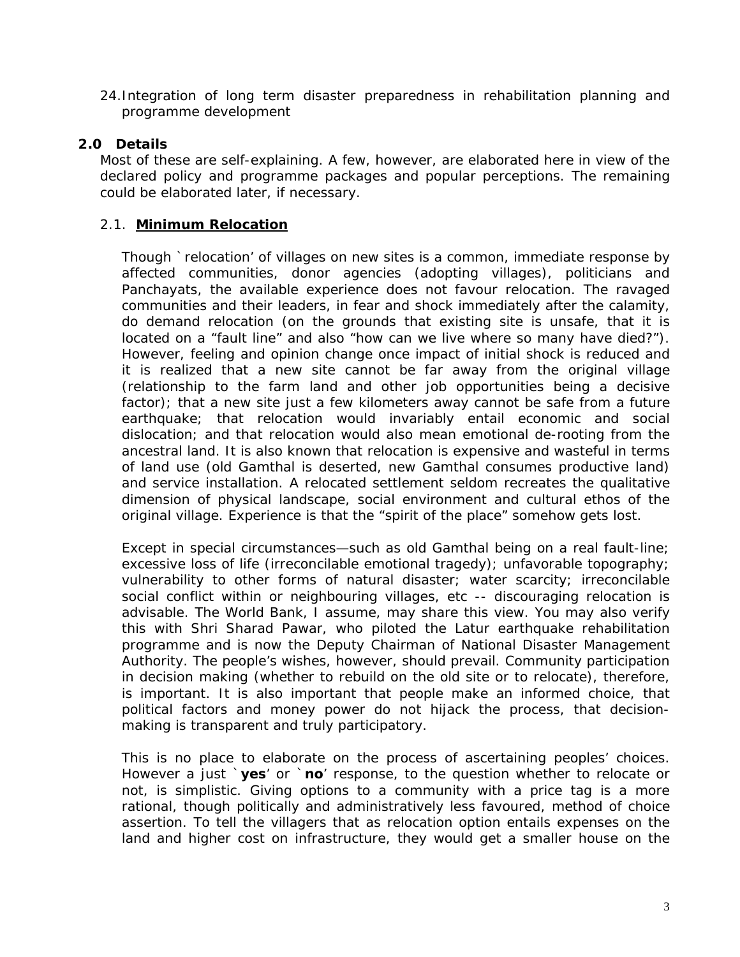24.Integration of long term disaster preparedness in rehabilitation planning and programme development

## **2.0 Details**

Most of these are self-explaining. A few, however, are elaborated here in view of the declared policy and programme packages and popular perceptions. The remaining could be elaborated later, if necessary.

### 2.1. **Minimum Relocation**

Though `relocation' of villages on new sites is a common, immediate response by affected communities, donor agencies (*adopting villages*), politicians and Panchayats, the available experience does not favour relocation. The ravaged communities and their leaders, in fear and shock immediately after the calamity, do demand relocation (*on the grounds that existing site is unsafe, that it is located on a "fault line" and also "how can we live where so many have died?"*). However, feeling and opinion change once impact of initial shock is reduced and it is realized that a new site cannot be far away from the original village (*relationship to the farm land and other job opportunities being a decisive factor*); that a new site just a few kilometers away cannot be safe from a future earthquake; that relocation would invariably entail economic and social dislocation; and that relocation would also mean emotional de-rooting from the ancestral land. It is also known that relocation is expensive and wasteful in terms of land use (*old Gamthal is deserted, new Gamthal consumes productive land*) and service installation. A relocated settlement seldom recreates the qualitative dimension of physical landscape, social environment and cultural ethos of the original village. Experience is that the "spirit of the place" somehow gets lost.

Except in special circumstances—such as old Gamthal being on a real fault-line; excessive loss of life (*irreconcilable emotional tragedy*); unfavorable topography; vulnerability to other forms of natural disaster; water scarcity; irreconcilable social conflict within or neighbouring villages, etc -- discouraging relocation is advisable. The World Bank, I assume, may share this view. You may also verify this with Shri Sharad Pawar, who piloted the Latur earthquake rehabilitation programme and is now the Deputy Chairman of National Disaster Management Authority. The people's wishes, however, should prevail. Community participation in decision making *(whether to rebuild on the old site or to relocate*), therefore, is important. It is also important that people make an informed choice, that political factors and money power do not hijack the process, that decisionmaking is transparent and truly participatory.

This is no place to elaborate on the process of ascertaining peoples' choices. However a just `**yes**' or `**no**' response, to the question whether to relocate or not, is simplistic. Giving options to a community with a price tag is a more rational, though politically and administratively less favoured, method of choice assertion. To tell the villagers that as relocation option entails expenses on the land and higher cost on infrastructure, they would get a smaller house on the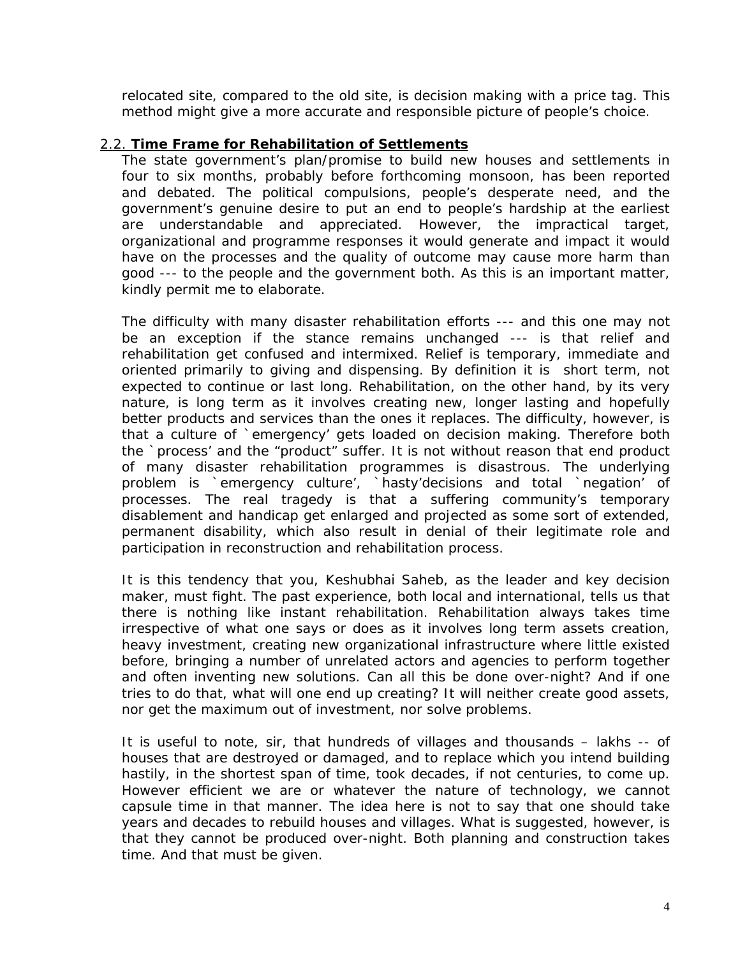relocated site, compared to the old site, is decision making with a price tag. This method might give a more accurate and responsible picture of people's choice.

### 2.2. **Time Frame for Rehabilitation of Settlements**

The state government's plan/promise to build new houses and settlements in four to six months, probably before forthcoming monsoon, has been reported and debated. The political compulsions, people's desperate need, and the government's genuine desire to put an end to people's hardship at the earliest are understandable and appreciated. However, the impractical target, organizational and programme responses it would generate and impact it would have on the processes and the quality of outcome may cause more harm than good --- to the people and the government both. As this is an important matter, kindly permit me to elaborate.

The difficulty with many disaster rehabilitation efforts --- and this one may not be an exception if the stance remains unchanged --- is that relief and rehabilitation get confused and intermixed. Relief is temporary, immediate and oriented primarily to giving and dispensing. By definition it is short term, not expected to continue or last long. Rehabilitation, on the other hand, by its very nature, is long term as it involves creating new, longer lasting and hopefully better products and services than the ones it replaces. The difficulty, however, is that a culture of `emergency' gets loaded on decision making. Therefore both the `process' and the "product" suffer. It is not without reason that end product of many disaster rehabilitation programmes is disastrous. The underlying problem is `emergency culture', `hasty'decisions and total `negation' of processes. The real tragedy is that a suffering community's temporary disablement and handicap get enlarged and projected as some sort of extended, permanent disability, which also result in denial of their legitimate role and participation in reconstruction and rehabilitation process.

It is this tendency that you, Keshubhai Saheb, as the leader and key decision maker, must fight. The past experience, both local and international, tells us that there is nothing like instant rehabilitation. Rehabilitation always takes time irrespective of what one says or does as it involves long term assets creation, heavy investment, creating new organizational infrastructure where little existed before, bringing a number of unrelated actors and agencies to perform together and often inventing new solutions. Can all this be done over-night? And if one tries to do that, what will one end up creating? It will neither create good assets, nor get the maximum out of investment, nor solve problems.

It is useful to note, sir, that hundreds of villages and thousands – lakhs -- of houses that are destroyed or damaged, and to replace which you intend building hastily, in the shortest span of time, took decades, if not centuries, to come up. However efficient we are or whatever the nature of technology, we cannot capsule time in that manner. The idea here is not to say that one should take years and decades to rebuild houses and villages. What is suggested, however, is that they cannot be produced over-night. Both planning and construction takes time. And that must be given.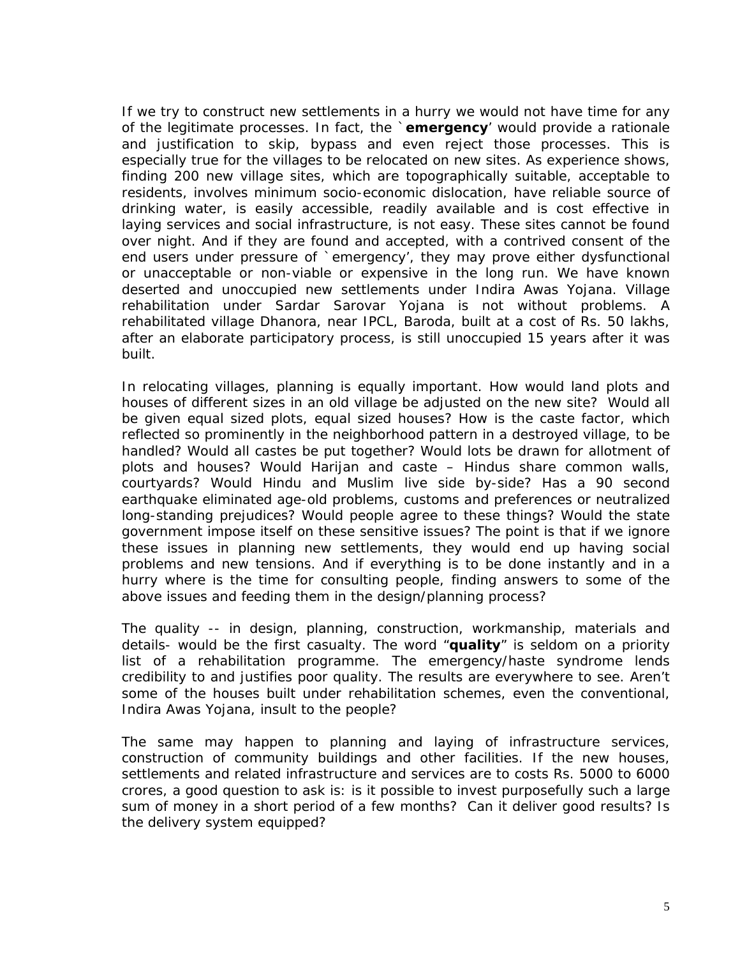If we try to construct new settlements in a hurry we would not have time for any of the legitimate processes. In fact, the `**emergency**' would provide a rationale and justification to skip, bypass and even reject those processes. This is especially true for the villages to be relocated on new sites. As experience shows, finding 200 new village sites, which are topographically suitable, acceptable to residents, involves minimum socio-economic dislocation, have reliable source of drinking water, is easily accessible, readily available and is cost effective in laying services and social infrastructure, is not easy. These sites cannot be found over night. And if they are found and accepted, with a contrived consent of the end users under pressure of `emergency', they may prove either dysfunctional or unacceptable or non-viable or expensive in the long run. We have known deserted and unoccupied new settlements under Indira Awas Yojana. Village rehabilitation under Sardar Sarovar Yojana is not without problems. A rehabilitated village Dhanora, near IPCL, Baroda, built at a cost of Rs. 50 lakhs, after an elaborate participatory process, is still unoccupied 15 years after it was built.

In relocating villages, planning is equally important. How would land plots and houses of different sizes in an old village be adjusted on the new site? Would all be given equal sized plots, equal sized houses? How is the caste factor, which reflected so prominently in the neighborhood pattern in a destroyed village, to be handled? Would all castes be put together? Would lots be drawn for allotment of plots and houses? Would Harijan and caste – Hindus share common walls, courtyards? Would Hindu and Muslim live side by-side? Has a 90 second earthquake eliminated age-old problems, customs and preferences or neutralized long-standing prejudices? Would people agree to these things? Would the state government impose itself on these sensitive issues? The point is that if we ignore these issues in planning new settlements, they would end up having social problems and new tensions. And if everything is to be done instantly and in a hurry where is the time for consulting people, finding answers to some of the above issues and feeding them in the design/planning process?

The quality -- in design, planning, construction, workmanship, materials and details- would be the first casualty. The word "**quality**" is seldom on a priority list of a rehabilitation programme. The emergency/haste syndrome lends credibility to and justifies poor quality. The results are everywhere to see. Aren't some of the houses built under rehabilitation schemes, even the conventional, Indira Awas Yojana, insult to the people?

The same may happen to planning and laying of infrastructure services, construction of community buildings and other facilities. If the new houses, settlements and related infrastructure and services are to costs Rs. 5000 to 6000 crores, a good question to ask is: is it possible to invest purposefully such a large sum of money in a short period of a few months? Can it deliver good results? Is the delivery system equipped?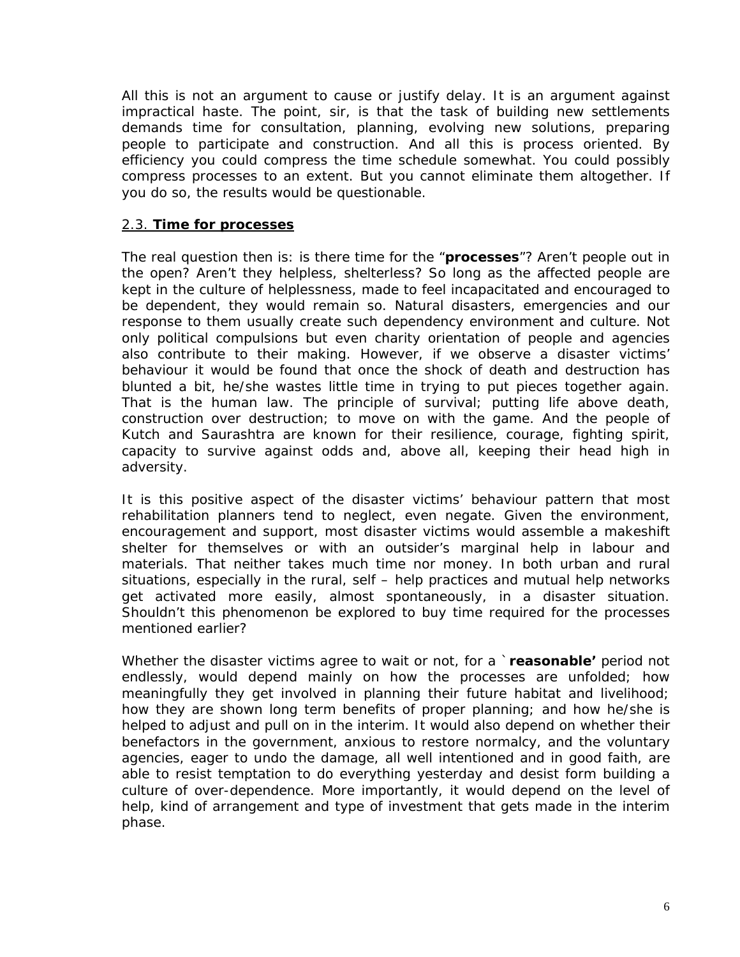All this is not an argument to cause or justify delay. It is an argument against impractical haste. The point, sir, is that the task of building new settlements demands time for consultation, planning, evolving new solutions, preparing people to participate and construction. And all this is process oriented. By efficiency you could compress the time schedule somewhat. You could possibly compress processes to an extent. But you cannot eliminate them altogether. If you do so, the results would be questionable.

### 2.3. **Time for processes**

The real question then is: is there time for the "**processes**"? Aren't people out in the open? Aren't they helpless, shelterless? So long as the affected people are kept in the culture of helplessness, made to feel incapacitated and encouraged to be dependent, they would remain so. Natural disasters, emergencies and our response to them usually create such dependency environment and culture. Not only political compulsions but even charity orientation of people and agencies also contribute to their making. However, if we observe a disaster victims' behaviour it would be found that once the shock of death and destruction has blunted a bit, he/she wastes little time in trying to put pieces together again. That is the human law. The principle of survival; putting life above death, construction over destruction; to move on with the game. And the people of Kutch and Saurashtra are known for their resilience, courage, fighting spirit, capacity to survive against odds and, above all, keeping their head high in adversity.

It is this positive aspect of the disaster victims' behaviour pattern that most rehabilitation planners tend to neglect, even negate. Given the environment, encouragement and support, most disaster victims would assemble a makeshift shelter for themselves or with an outsider's marginal help in labour and materials. That neither takes much time nor money. In both urban and rural situations, especially in the rural, self – help practices and mutual help networks get activated more easily, almost spontaneously, in a disaster situation. Shouldn't this phenomenon be explored to buy time required for the processes mentioned earlier?

Whether the disaster victims agree to wait or not, for a `**reasonable'** period not endlessly, would depend mainly on how the processes are unfolded; how meaningfully they get involved in planning their future habitat and livelihood; how they are shown long term benefits of proper planning; and how he/she is helped to adjust and pull on in the interim. It would also depend on whether their benefactors in the government, anxious to restore normalcy, and the voluntary agencies, eager to undo the damage, all well intentioned and in good faith, are able to resist temptation to do everything yesterday and desist form building a culture of over-dependence. More importantly, it would depend on the level of help, kind of arrangement and type of investment that gets made in the interim phase.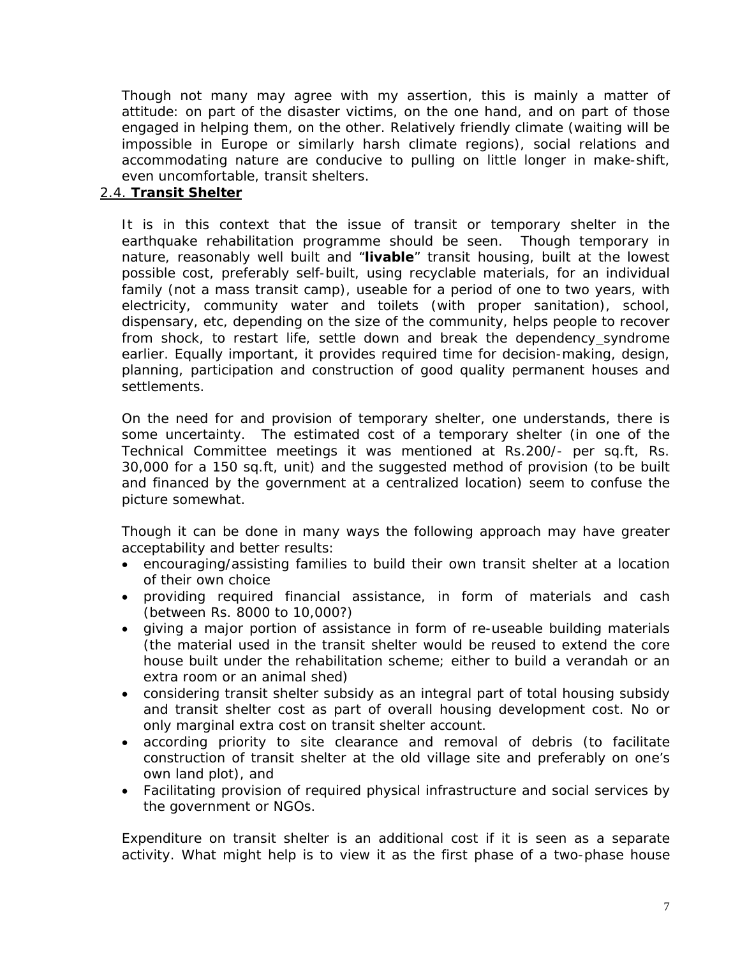Though not many may agree with my assertion, this is mainly a matter of attitude: on part of the disaster victims, on the one hand, and on part of those engaged in helping them, on the other. Relatively friendly climate (*waiting will be impossible in Europe or similarly harsh climate regions*), social relations and accommodating nature are conducive to pulling on little longer in make-shift, even uncomfortable, transit shelters.

## 2.4. **Transit Shelter**

It is in this context that the issue of transit or temporary shelter in the earthquake rehabilitation programme should be seen. Though temporary in nature, reasonably well built and "**livable**" transit housing, built at the lowest possible cost, preferably self-built, using recyclable materials, for an individual family (*not a mass transit camp*), useable for a period of one to two years, with electricity, community water and toilets (*with proper sanitation*), school, dispensary, etc, depending on the size of the community, helps people to recover from shock, to restart life, settle down and break the dependency syndrome earlier. Equally important, it provides required time for decision-making, design, planning, participation and construction of good quality permanent houses and settlements.

On the need for and provision of temporary shelter, one understands, there is some uncertainty. The estimated cost of a temporary shelter (*in one of the Technical Committee meetings it was mentioned at Rs.200/- per sq.ft, Rs. 30,000 for a 150 sq.ft, unit*) and the suggested method of provision *(to be built and financed by the government at a centralized location*) seem to confuse the picture somewhat.

Though it can be done in many ways the following approach may have greater acceptability and better results:

- encouraging/assisting families to build their own transit shelter at a location of their own choice
- providing required financial assistance, in form of materials and cash *(between Rs. 8000 to 10,000?*)
- giving a major portion of assistance in form of re-useable building materials *(the material used in the transit shelter would be reused to extend the core house built under the rehabilitation scheme; either to build a verandah or an extra room or an animal shed*)
- considering transit shelter subsidy as an integral part of total housing subsidy and transit shelter cost as part of overall housing development cost. No or only marginal extra cost on transit shelter account.
- according priority to site clearance and removal of debris (*to facilitate construction of transit shelter at the old village site and preferably on one's own land plot*), and
- Facilitating provision of required physical infrastructure and social services by the government or NGOs.

Expenditure on transit shelter is an additional cost if it is seen as a separate activity. What might help is to view it as the first phase of a two-phase house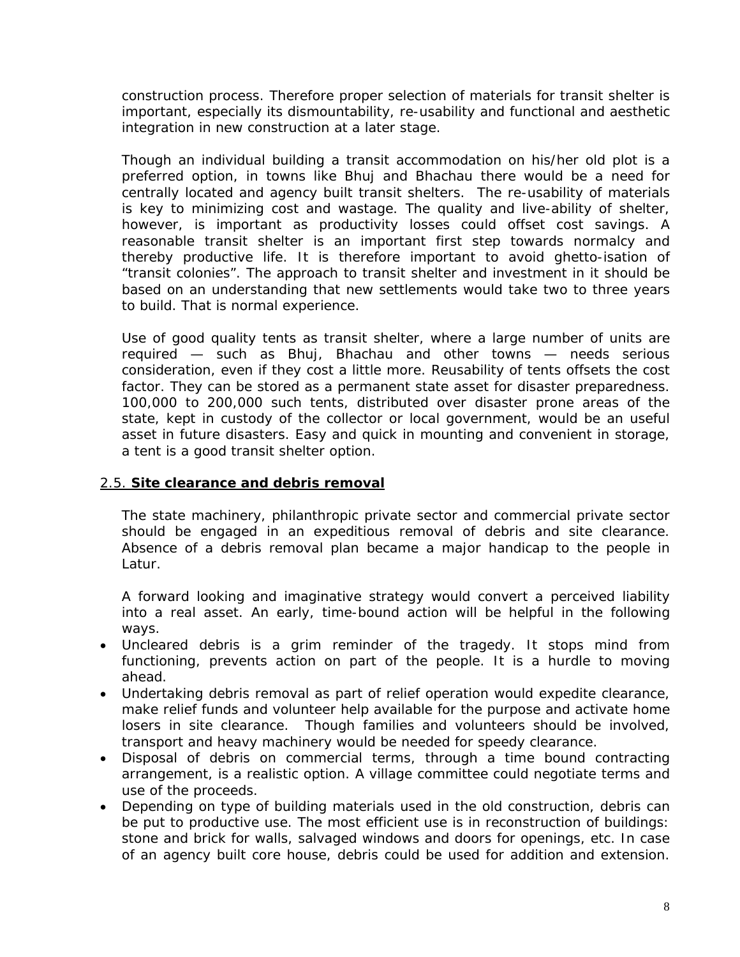construction process. Therefore proper selection of materials for transit shelter is important, especially its dismountability, re-usability and functional and aesthetic integration in new construction at a later stage.

Though an individual building a transit accommodation on his/her old plot is a preferred option, in towns like Bhuj and Bhachau there would be a need for centrally located and agency built transit shelters. The re-usability of materials is key to minimizing cost and wastage. The quality and live-ability of shelter, however, is important as productivity losses could offset cost savings. A reasonable transit shelter is an important first step towards normalcy and thereby productive life. It is therefore important to avoid ghetto-isation of "transit colonies". The approach to transit shelter and investment in it should be based on an understanding that new settlements would take two to three years to build. That is normal experience.

Use of good quality tents as transit shelter, where a large number of units are required — such as Bhuj, Bhachau and other towns — needs serious consideration, even if they cost a little more. Reusability of tents offsets the cost factor. They can be stored as a permanent state asset for disaster preparedness. 100,000 to 200,000 such tents, distributed over disaster prone areas of the state, kept in custody of the collector or local government, would be an useful asset in future disasters. Easy and quick in mounting and convenient in storage, a tent is a good transit shelter option.

## 2.5. **Site clearance and debris removal**

The state machinery, philanthropic private sector and commercial private sector should be engaged in an expeditious removal of debris and site clearance. Absence of a debris removal plan became a major handicap to the people in Latur.

A forward looking and imaginative strategy would convert a perceived liability into a real asset. An early, time-bound action will be helpful in the following ways.

- Uncleared debris is a grim reminder of the tragedy. It stops mind from functioning, prevents action on part of the people. It is a hurdle to moving ahead.
- Undertaking debris removal as part of relief operation would expedite clearance, make relief funds and volunteer help available for the purpose and activate home losers in site clearance. Though families and volunteers should be involved, transport and heavy machinery would be needed for speedy clearance.
- Disposal of debris on commercial terms, through a time bound contracting arrangement, is a realistic option. A village committee could negotiate terms and use of the proceeds.
- Depending on type of building materials used in the old construction, debris can be put to productive use. The most efficient use is in reconstruction of buildings: stone and brick for walls, salvaged windows and doors for openings, etc. In case of an agency built core house, debris could be used for addition and extension.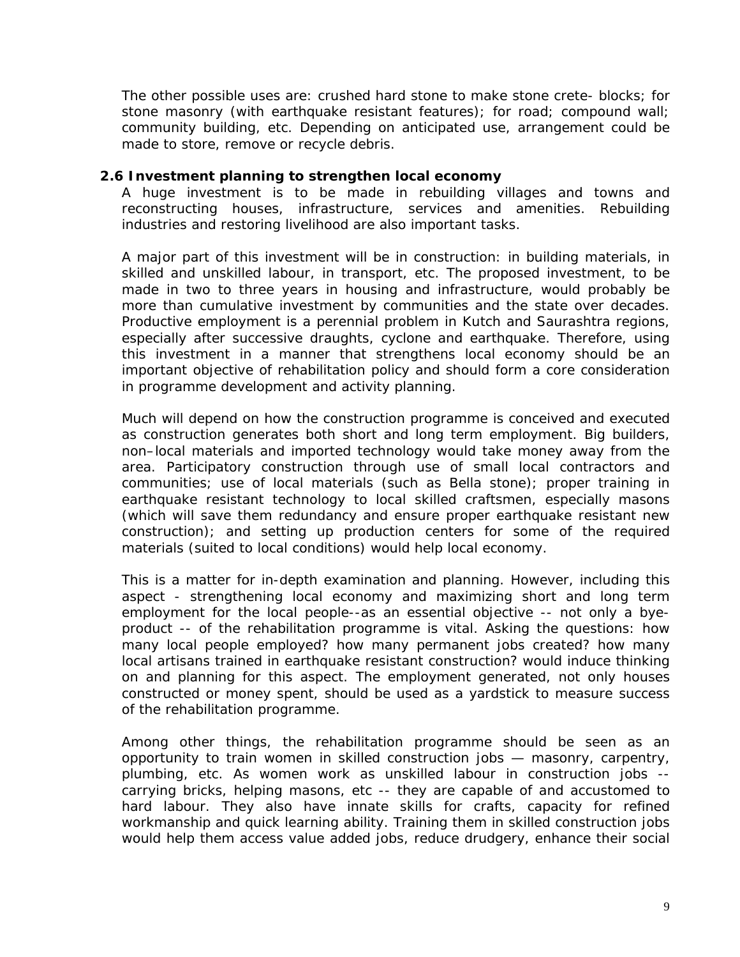The other possible uses are: crushed hard stone to make stone crete- blocks; for stone masonry (*with earthquake resistant features*); for road; compound wall; community building, etc. Depending on anticipated use, arrangement could be made to store, remove or recycle debris.

#### **2.6 Investment planning to strengthen local economy**

A huge investment is to be made in rebuilding villages and towns and reconstructing houses, infrastructure, services and amenities. Rebuilding industries and restoring livelihood are also important tasks.

A major part of this investment will be in construction: in building materials, in skilled and unskilled labour, in transport, etc. The proposed investment, to be made in two to three years in housing and infrastructure, would probably be more than cumulative investment by communities and the state over decades. Productive employment is a perennial problem in Kutch and Saurashtra regions, especially after successive draughts, cyclone and earthquake. Therefore, using this investment in a manner that strengthens local economy should be an important objective of rehabilitation policy and should form a core consideration in programme development and activity planning.

Much will depend on how the construction programme is conceived and executed as construction generates both short and long term employment. Big builders, non–local materials and imported technology would take money away from the area. Participatory construction through use of small local contractors and communities; use of local materials (*such as Bella stone*); proper training in earthquake resistant technology to local skilled craftsmen, especially masons (*which will save them redundancy and ensure proper earthquake resistant new construction*); and setting up production centers for some of the required materials (*suited to local conditions*) would help local economy.

This is a matter for in-depth examination and planning. However, including this aspect - strengthening local economy and maximizing short and long term employment for the local people--as an essential objective -- not only a byeproduct -- of the rehabilitation programme is vital. Asking the questions: *how many local people employed? how many permanent jobs created? how many local artisans trained in earthquake resistant construction*? would induce thinking on and planning for this aspect. The employment generated, not only houses constructed or money spent, should be used as a yardstick to measure success of the rehabilitation programme.

Among other things, the rehabilitation programme should be seen as an opportunity to train women in skilled construction jobs — masonry, carpentry, plumbing, etc. As women work as unskilled labour in construction jobs - carrying bricks, helping masons, etc -- they are capable of and accustomed to hard labour. They also have innate skills for crafts, capacity for refined workmanship and quick learning ability. Training them in skilled construction jobs would help them access value added jobs, reduce drudgery, enhance their social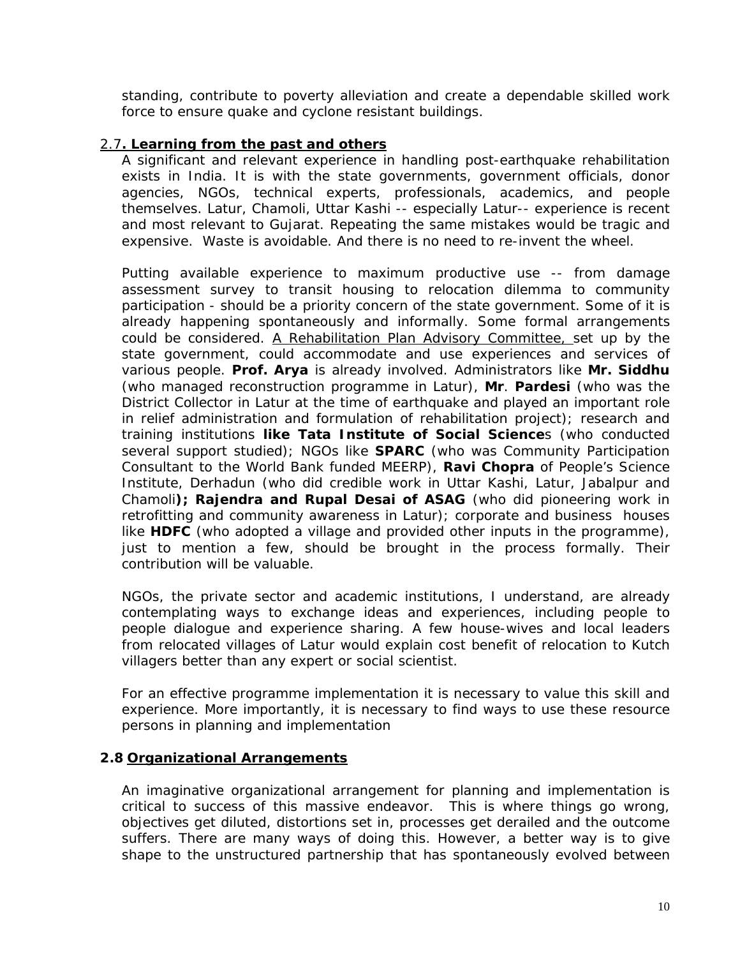standing, contribute to poverty alleviation and create a dependable skilled work force to ensure quake and cyclone resistant buildings.

## 2.7**. Learning from the past and others**

A significant and relevant experience in handling post-earthquake rehabilitation exists in India. It is with the state governments, government officials, donor agencies, NGOs, technical experts, professionals, academics, and people themselves. Latur, Chamoli, Uttar Kashi -- especially Latur-- experience is recent and most relevant to Gujarat. Repeating the same mistakes would be tragic and expensive. Waste is avoidable. And there is no need to re-invent the wheel.

Putting available experience to maximum productive use -- from damage assessment survey to transit housing to relocation dilemma to community participation - should be a priority concern of the state government. Some of it is already happening spontaneously and informally. Some formal arrangements could be considered. A Rehabilitation Plan Advisory Committee, set up by the state government, could accommodate and use experiences and services of various people. **Prof. Arya** is already involved. Administrators like **Mr. Siddhu** (*who managed reconstruction programme in Latur*), **Mr**. *Pardesi (who was the District Collector in Latur at the time of earthquake and played an important role in relief administration and formulation of rehabilitation project*); research and training institutions **like Tata Institute of Social Science**s (*who conducted several support studied*); NGOs like **SPARC** (*who was Community Participation Consultant to the World Bank funded MEERP*), **Ravi Chopra** of People's Science Institute, *Derhadun (who did credible work in Uttar Kashi, Latur, Jabalpur and Chamoli***); Rajendra and Rupal Desai of ASAG** (*who did pioneering work in retrofitting and community awareness in Latur*); corporate and business houses like **HDFC** *(who adopted a village and provided other inputs in the programme*), just to mention a few, should be brought in the process formally. Their contribution will be valuable.

NGOs, the private sector and academic institutions, I understand, are already contemplating ways to exchange ideas and experiences, including people to people dialogue and experience sharing. A few house-wives and local leaders from relocated villages of Latur would explain cost benefit of relocation to Kutch villagers better than any expert or social scientist.

For an effective programme implementation it is necessary to value this skill and experience. More importantly, it is necessary to find ways to use these resource persons in planning and implementation

### **2.8 Organizational Arrangements**

An imaginative organizational arrangement for planning and implementation is critical to success of this massive endeavor. This is where things go wrong, objectives get diluted, distortions set in, processes get derailed and the outcome suffers. There are many ways of doing this. However, a better way is to give shape to the unstructured partnership that has spontaneously evolved between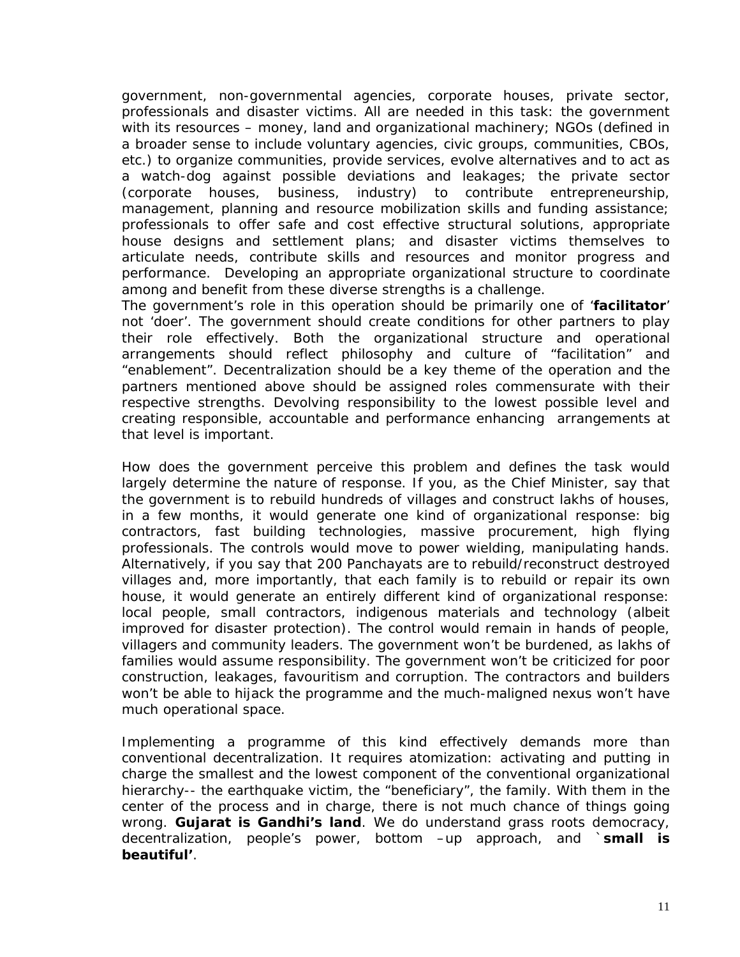government, non-governmental agencies, corporate houses, private sector, professionals and disaster victims. All are needed in this task: the government with its resources – money, land and organizational machinery; NGOs (*defined in a broader sense to include voluntary agencies, civic groups, communities, CBOs, etc.)* to organize communities, provide services, evolve alternatives and to act as a watch-dog against possible deviations and leakages; the private sector *(corporate houses, business, industry*) to contribute entrepreneurship, management, planning and resource mobilization skills and funding assistance; professionals to offer safe and cost effective structural solutions, appropriate house designs and settlement plans; and disaster victims themselves to articulate needs, contribute skills and resources and monitor progress and performance. Developing an appropriate organizational structure to coordinate among and benefit from these diverse strengths is a challenge.

The government's role in this operation should be primarily one of '**facilitator**' not 'doer'. The government should create conditions for other partners to play their role effectively. Both the organizational structure and operational arrangements should reflect philosophy and culture of "facilitation" and "enablement". Decentralization should be a key theme of the operation and the partners mentioned above should be assigned roles commensurate with their respective strengths. Devolving responsibility to the lowest possible level and creating responsible, accountable and performance enhancing arrangements at that level is important.

How does the government perceive this problem and defines the task would largely determine the nature of response. If you, as the Chief Minister, say that the government is to rebuild hundreds of villages and construct lakhs of houses, in a few months, it would generate one kind of organizational response: big contractors, fast building technologies, massive procurement, high flying professionals. The controls would move to power wielding, manipulating hands. Alternatively, if you say that 200 Panchayats are to rebuild/reconstruct destroyed villages and, more importantly, that each family is to rebuild or repair its own house, it would generate an entirely different kind of organizational response: local people, small contractors, indigenous materials and *technology (albeit improved for disaster protection*). The control would remain in hands of people, villagers and community leaders. The government won't be burdened, as lakhs of families would assume responsibility. The government won't be criticized for poor construction, leakages, favouritism and corruption. The contractors and builders won't be able to hijack the programme and the much-maligned nexus won't have much operational space.

Implementing a programme of this kind effectively demands more than conventional decentralization. It requires atomization: activating and putting in charge the smallest and the lowest component of the conventional organizational hierarchy-- the earthquake victim, the "beneficiary", the family. With them in the center of the process and in charge, there is not much chance of things going wrong. *Gujarat is Gandhi's land*. We do understand grass roots democracy, decentralization, people's power, bottom –up approach, and `*small is beautiful'*.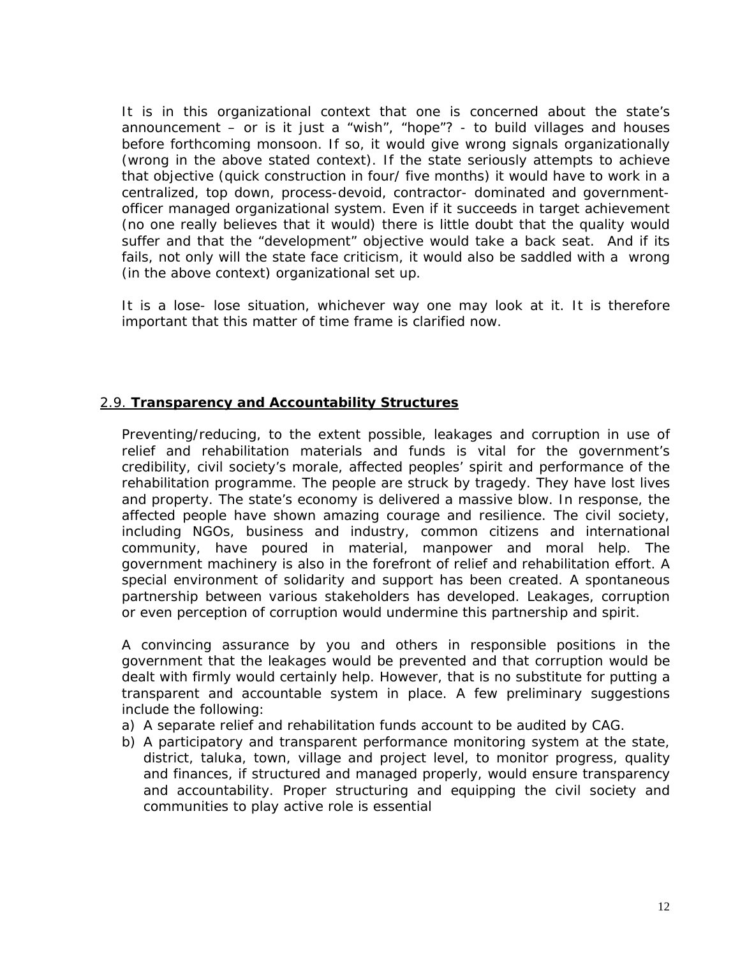It is in this organizational context that one is concerned about the state's announcement – or is it just a "wish", "hope"? - to build villages and houses before forthcoming monsoon. If so, it would give wrong signals organizationally (*wrong in the above stated context*). If the state seriously attempts to achieve that objective (*quick construction in four/ five months*) it would have to work in a centralized, top down, process-devoid, contractor- dominated and governmentofficer managed organizational system. Even if it succeeds in target achievement (*no one really believes that it would*) there is little doubt that the quality would suffer and that the "development" objective would take a back seat. And if its fails, not only will the state face criticism, it would also be saddled with a wrong (*in the above context*) organizational set up.

It is a lose- lose situation, whichever way one may look at it. It is therefore important that this matter of time frame is clarified now.

## 2.9. **Transparency and Accountability Structures**

Preventing/reducing, to the extent possible, leakages and corruption in use of relief and rehabilitation materials and funds is vital for the government's credibility, civil society's morale, affected peoples' spirit and performance of the rehabilitation programme. The people are struck by tragedy. They have lost lives and property. The state's economy is delivered a massive blow. In response, the affected people have shown amazing courage and resilience. The civil society, including NGOs, business and industry, common citizens and international community, have poured in material, manpower and moral help. The government machinery is also in the forefront of relief and rehabilitation effort. A special environment of solidarity and support has been created. A spontaneous partnership between various stakeholders has developed. Leakages, corruption or even perception of corruption would undermine this partnership and spirit.

A convincing assurance by you and others in responsible positions in the government that the leakages would be prevented and that corruption would be dealt with firmly would certainly help. However, that is no substitute for putting a transparent and accountable system in place. A few preliminary suggestions include the following:

- a) A separate relief and rehabilitation funds account to be audited by CAG.
- b) A participatory and transparent performance monitoring system at the state, district, taluka, town, village and project level, to monitor progress, quality and finances, if structured and managed properly, would ensure transparency and accountability. Proper structuring and equipping the civil society and communities to play active role is essential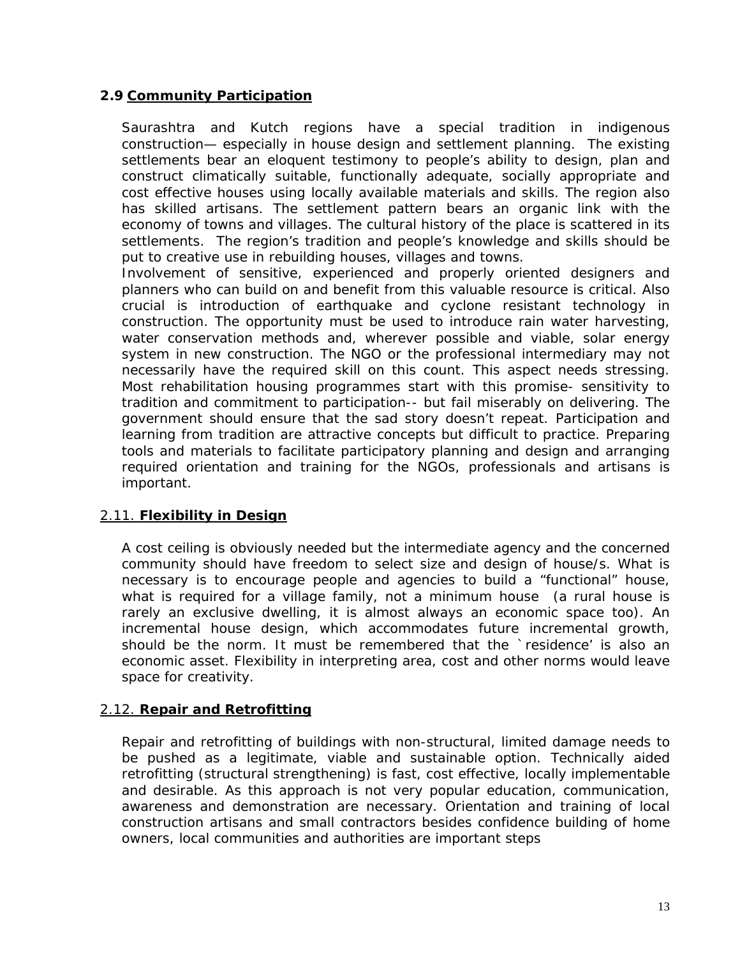## **2.9 Community Participation**

Saurashtra and Kutch regions have a special tradition in indigenous construction— especially in house design and settlement planning. The existing settlements bear an eloquent testimony to people's ability to design, plan and construct climatically suitable, functionally adequate, socially appropriate and cost effective houses using locally available materials and skills. The region also has skilled artisans. The settlement pattern bears an organic link with the economy of towns and villages. The cultural history of the place is scattered in its settlements. The region's tradition and people's knowledge and skills should be put to creative use in rebuilding houses, villages and towns.

Involvement of sensitive, experienced and properly oriented designers and planners who can build on and benefit from this valuable resource is critical. Also crucial is introduction of earthquake and cyclone resistant technology in construction. The opportunity must be used to introduce rain water harvesting, water conservation methods and, wherever possible and viable, solar energy system in new construction. The NGO or the professional intermediary may not necessarily have the required skill on this count. This aspect needs stressing. Most rehabilitation housing programmes start with this promise- sensitivity to tradition and commitment to participation-- but fail miserably on delivering. The government should ensure that the sad story doesn't repeat. Participation and learning from tradition are attractive concepts but difficult to practice. Preparing tools and materials to facilitate participatory planning and design and arranging required orientation and training for the NGOs, professionals and artisans is important.

## 2.11. **Flexibility in Design**

A cost ceiling is obviously needed but the intermediate agency and the concerned community should have freedom to select size and design of house/s. What is necessary is to encourage people and agencies to build a "functional" house, what is required for a village family, not a minimum house (*a rural house is rarely an exclusive dwelling, it is almost always an economic space too*). An incremental house design, which accommodates future incremental growth, should be the norm. It must be remembered that the `residence' is also an economic asset. Flexibility in interpreting area, cost and other norms would leave space for creativity.

#### 2.12. **Repair and Retrofitting**

Repair and retrofitting of buildings with non-structural, limited damage needs to be pushed as a legitimate, viable and sustainable option. Technically aided retrofitting (*structural strengthening*) is fast, cost effective, locally implementable and desirable. As this approach is not very popular education, communication, awareness and demonstration are necessary. Orientation and training of local construction artisans and small contractors besides confidence building of home owners, local communities and authorities are important steps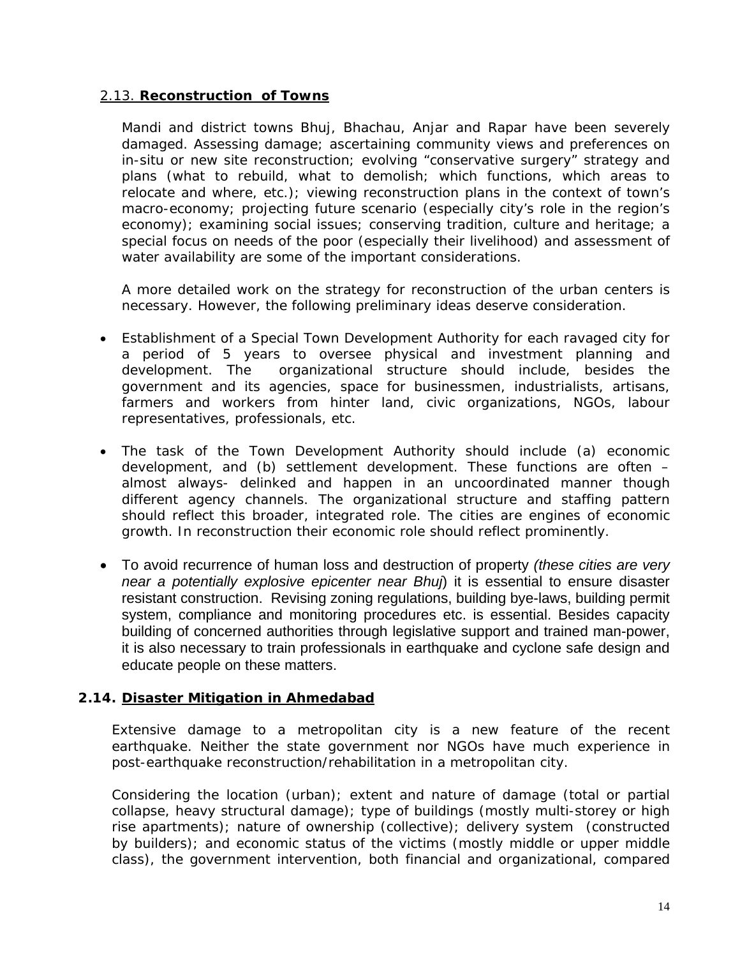### 2.13. **Reconstruction of Towns**

Mandi and district towns Bhuj, Bhachau, Anjar and Rapar have been severely damaged. Assessing damage; ascertaining community views and preferences on in-situ or new site reconstruction; evolving "conservative surgery" strategy and plans (*what to rebuild, what to demolish; which functions, which areas to relocate and where, etc*.); viewing reconstruction plans in the context of town's macro-economy; projecting future scenario (*especially city's role in the region's economy*); examining social issues; conserving tradition, culture and heritage; a special focus on needs of the poor (*especially their livelihood*) and assessment of water availability are some of the important considerations.

A more detailed work on the strategy for reconstruction of the urban centers is necessary. However, the following preliminary ideas deserve consideration.

- Establishment of a Special Town Development Authority for each ravaged city for a period of 5 years to oversee physical and investment planning and development. The organizational structure should include, besides the government and its agencies, space for businessmen, industrialists, artisans, farmers and workers from hinter land, civic organizations, NGOs, labour representatives, professionals, etc.
- The task of the Town Development Authority should include (a) economic development, and (b) settlement development. These functions are often – almost always- delinked and happen in an uncoordinated manner though different agency channels. The organizational structure and staffing pattern should reflect this broader, integrated role. The cities are engines of economic growth. In reconstruction their economic role should reflect prominently.
- To avoid recurrence of human loss and destruction of property *(these cities are very near a potentially explosive epicenter near Bhuj*) it is essential to ensure disaster resistant construction. Revising zoning regulations, building bye-laws, building permit system, compliance and monitoring procedures etc. is essential. Besides capacity building of concerned authorities through legislative support and trained man-power, it is also necessary to train professionals in earthquake and cyclone safe design and educate people on these matters.

## **2.14. Disaster Mitigation in Ahmedabad**

Extensive damage to a metropolitan city is a new feature of the recent earthquake. Neither the state government nor NGOs have much experience in post-earthquake reconstruction/rehabilitation in a metropolitan city.

Considering the location (*urban*); extent and nature of damage *(total or partial collapse, heavy structural damage*); type of buildings (*mostly multi-storey or high rise apartments*); nature of ownership (*collective*); delivery system (*constructed by builders*); and economic status of the victims (*mostly middle or upper middle class*), the government intervention, both financial and organizational, compared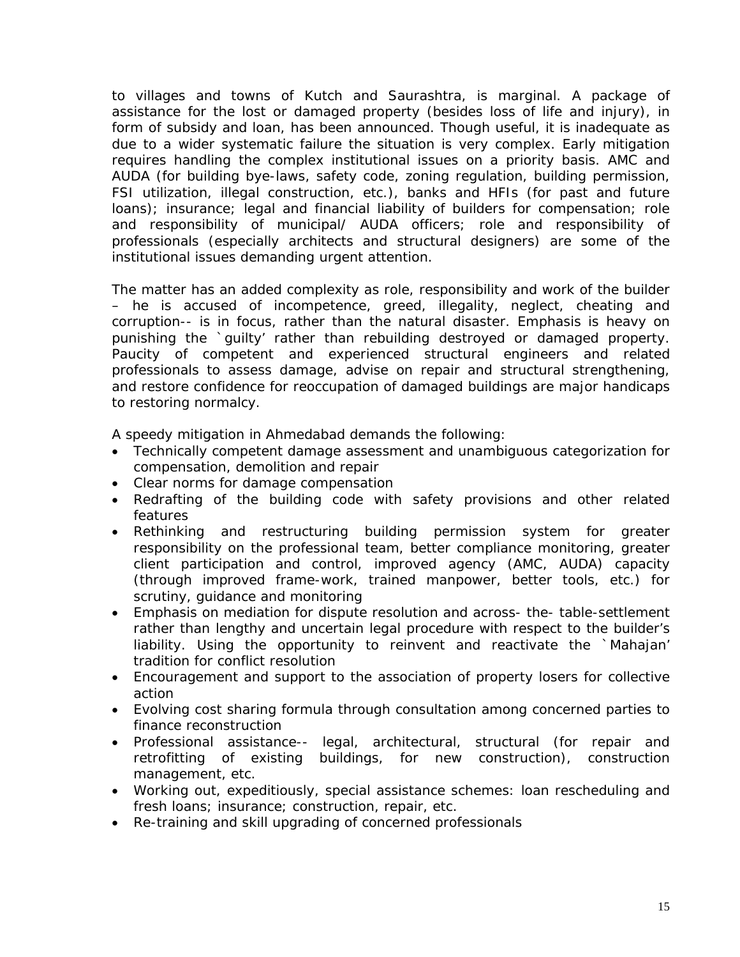to villages and towns of Kutch and Saurashtra, is marginal. A package of assistance for the lost or damaged *property (besides loss of life and injury*), in form of subsidy and loan, has been announced. Though useful, it is inadequate as due to a wider systematic failure the situation is very complex. Early mitigation requires handling the complex institutional issues on a priority basis. AMC and AUDA (*for building bye-laws, safety code, zoning regulation, building permission, FSI utilization, illegal construction, etc*.), banks and HFIs (*for past and future loans*); insurance; legal and financial liability of builders for compensation; role and responsibility of municipal/ AUDA officers; role and responsibility of professionals (*especially architects and structural designers*) are some of the institutional issues demanding urgent attention.

The matter has an added complexity as role, responsibility and work of the builder – he is accused of incompetence, greed, illegality, neglect, cheating and corruption-- is in focus, rather than the natural disaster. Emphasis is heavy on punishing the `guilty' rather than rebuilding destroyed or damaged property. Paucity of competent and experienced structural engineers and related professionals to assess damage, advise on repair and structural strengthening, and restore confidence for reoccupation of damaged buildings are major handicaps to restoring normalcy.

A speedy mitigation in Ahmedabad demands the following:

- Technically competent damage assessment and unambiguous categorization for compensation, demolition and repair
- Clear norms for damage compensation
- Redrafting of the building code with safety provisions and other related features
- Rethinking and restructuring building permission system for greater responsibility on the professional team, better compliance monitoring, greater client participation and control, improved agency (*AMC, AUDA*) capacity (*through improved frame-work, trained manpower, better tools, etc*.) for scrutiny, guidance and monitoring
- Emphasis on mediation for dispute resolution and across- the- table-settlement rather than lengthy and uncertain legal procedure with respect to the builder's liability. Using the opportunity to reinvent and reactivate the `Mahajan' tradition for conflict resolution
- Encouragement and support to the association of property losers for collective action
- Evolving cost sharing formula through consultation among concerned parties to finance reconstruction
- Professional assistance-- legal, architectural, structural *(for repair and retrofitting of existing buildings, for new construction*), construction management, etc.
- Working out, expeditiously, special assistance schemes: loan rescheduling and fresh loans; insurance; construction, repair, etc.
- Re-training and skill upgrading of concerned professionals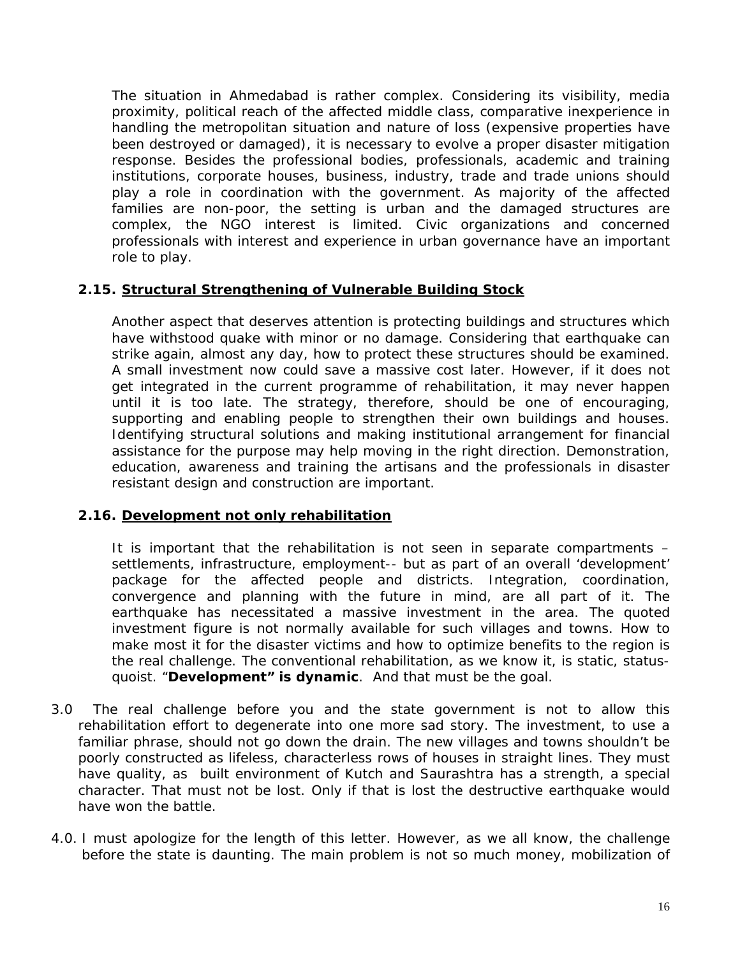The situation in Ahmedabad is rather complex. Considering its visibility, media proximity, political reach of the affected middle class, comparative inexperience in handling the metropolitan situation and nature of loss (*expensive properties have been destroyed or damaged*), it is necessary to evolve a proper disaster mitigation response. Besides the professional bodies, professionals, academic and training institutions, corporate houses, business, industry, trade and trade unions should play a role in coordination with the government. As majority of the affected families are non-poor, the setting is urban and the damaged structures are complex, the NGO interest is limited. Civic organizations and concerned professionals with interest and experience in urban governance have an important role to play.

### **2.15. Structural Strengthening of Vulnerable Building Stock**

Another aspect that deserves attention is protecting buildings and structures which have withstood quake with minor or no damage. Considering that earthquake can strike again, almost any day, how to protect these structures should be examined. A small investment now could save a massive cost later. However, if it does not get integrated in the current programme of rehabilitation, it may never happen until it is too late. The strategy, therefore, should be one of encouraging, supporting and enabling people to strengthen their own buildings and houses. Identifying structural solutions and making institutional arrangement for financial assistance for the purpose may help moving in the right direction. Demonstration, education, awareness and training the artisans and the professionals in disaster resistant design and construction are important.

#### **2.16. Development not only rehabilitation**

It is important that the rehabilitation is not seen in separate compartments – settlements, infrastructure, employment-- but as part of an overall 'development' package for the affected people and districts. Integration, coordination, convergence and planning with the future in mind, are all part of it. The earthquake has necessitated a massive investment in the area. The quoted investment figure is not normally available for such villages and towns. How to make most it for the disaster victims and how to optimize benefits to the region is the real challenge. The conventional rehabilitation, as we know it, is static, statusquoist. "**Development" is dynamic**. And that must be the goal.

- 3.0 The real challenge before you and the state government is not to allow this rehabilitation effort to degenerate into one more sad story. The investment, to use a familiar phrase, should not go down the drain. The new villages and towns shouldn't be poorly constructed as lifeless, characterless rows of houses in straight lines. They must have quality, as built environment of Kutch and Saurashtra has a strength, a special character. That must not be lost. Only if that is lost the destructive earthquake would have won the battle.
- 4.0. I must apologize for the length of this letter. However, as we all know, the challenge before the state is daunting. The main problem is not so much money, mobilization of